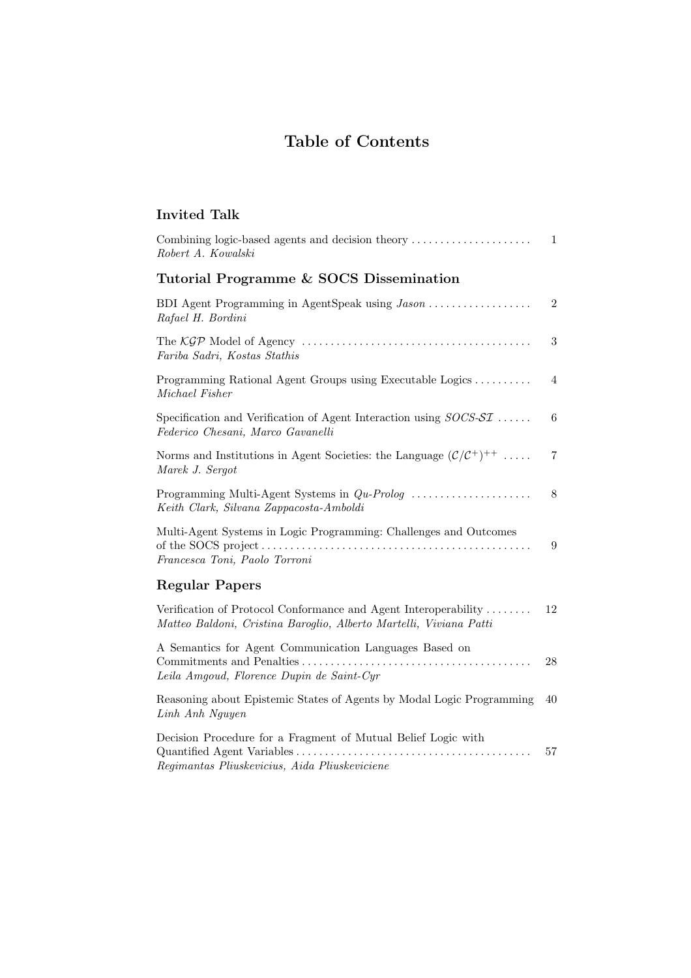## Table of Contents

## Invited Talk

| Combining logic-based agents and decision theory<br>Robert A. Kowalski                                                                | 1          |
|---------------------------------------------------------------------------------------------------------------------------------------|------------|
| Tutorial Programme & SOCS Dissemination                                                                                               |            |
| BDI Agent Programming in AgentSpeak using Jason<br>Rafael H. Bordini                                                                  | $\sqrt{2}$ |
| Fariba Sadri, Kostas Stathis                                                                                                          | 3          |
| Programming Rational Agent Groups using Executable Logics<br>Michael Fisher                                                           | 4          |
| Specification and Verification of Agent Interaction using $SOCS$ - $ST$<br>Federico Chesani, Marco Gavanelli                          | 6          |
| Norms and Institutions in Agent Societies: the Language $(\mathcal{C}/\mathcal{C}^+)^{++}$<br>Marek J. Sergot                         | 7          |
| Keith Clark, Silvana Zappacosta-Amboldi                                                                                               | $8\,$      |
| Multi-Agent Systems in Logic Programming: Challenges and Outcomes<br>Francesca Toni, Paolo Torroni                                    | 9          |
| <b>Regular Papers</b>                                                                                                                 |            |
| Verification of Protocol Conformance and Agent Interoperability<br>Matteo Baldoni, Cristina Baroglio, Alberto Martelli, Viviana Patti | 12         |
| A Semantics for Agent Communication Languages Based on<br>Leila Amgoud, Florence Dupin de Saint-Cyr                                   | 28         |
| Reasoning about Epistemic States of Agents by Modal Logic Programming<br>Linh Anh Nguyen                                              | 40         |
| Decision Procedure for a Fragment of Mutual Belief Logic with<br>Regimantas Pliuskevicius, Aida Pliuskeviciene                        | $57\,$     |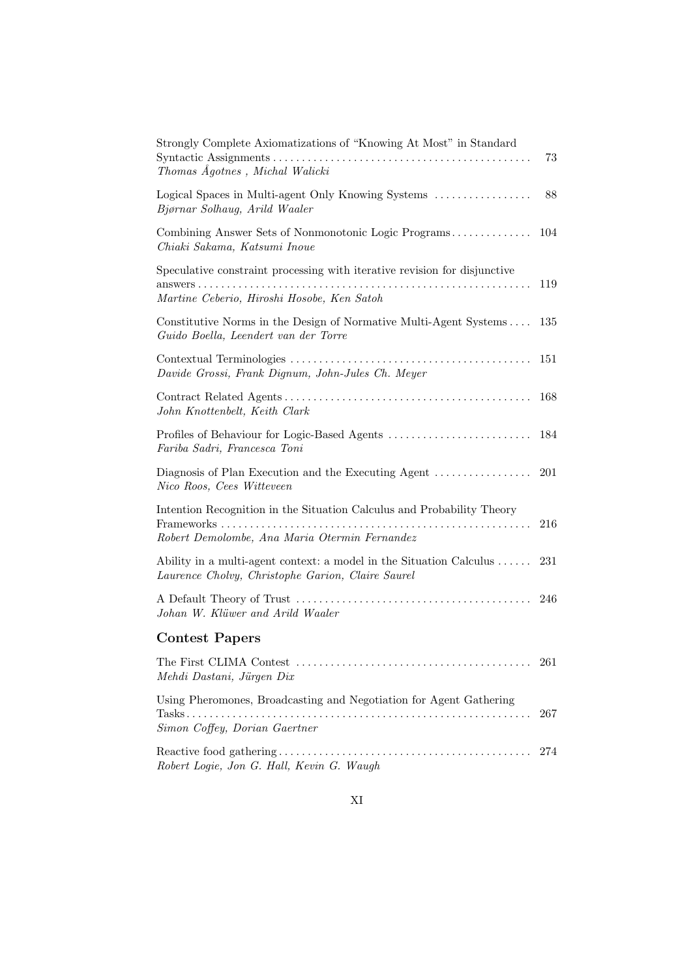| Strongly Complete Axiomatizations of "Knowing At Most" in Standard<br>Thomas Agotnes, Michal Walicki                     | 73  |
|--------------------------------------------------------------------------------------------------------------------------|-----|
| Logical Spaces in Multi-agent Only Knowing Systems<br>Bjørnar Solhaug, Arild Waaler                                      | 88  |
| Combining Answer Sets of Nonmonotonic Logic Programs<br>Chiaki Sakama, Katsumi Inoue                                     | 104 |
| Speculative constraint processing with iterative revision for disjunctive<br>Martine Ceberio, Hiroshi Hosobe, Ken Satoh  | 119 |
| Constitutive Norms in the Design of Normative Multi-Agent Systems<br>Guido Boella, Leendert van der Torre                | 135 |
| Davide Grossi, Frank Dignum, John-Jules Ch. Meyer                                                                        | 151 |
| John Knottenbelt, Keith Clark                                                                                            | 168 |
| Fariba Sadri, Francesca Toni                                                                                             | 184 |
| Diagnosis of Plan Execution and the Executing Agent<br>Nico Roos, Cees Witteveen                                         | 201 |
| Intention Recognition in the Situation Calculus and Probability Theory<br>Robert Demolombe, Ana Maria Otermin Fernandez  | 216 |
| Ability in a multi-agent context: a model in the Situation Calculus<br>Laurence Cholvy, Christophe Garion, Claire Saurel | 231 |
| Johan W. Klüwer and Arild Waaler                                                                                         | 246 |
| <b>Contest Papers</b>                                                                                                    |     |
| Mehdi Dastani, Jürgen Dix                                                                                                | 261 |
| Using Pheromones, Broadcasting and Negotiation for Agent Gathering                                                       | 267 |
| Simon Coffey, Dorian Gaertner                                                                                            |     |
| Robert Logie, Jon G. Hall, Kevin G. Waugh                                                                                | 274 |